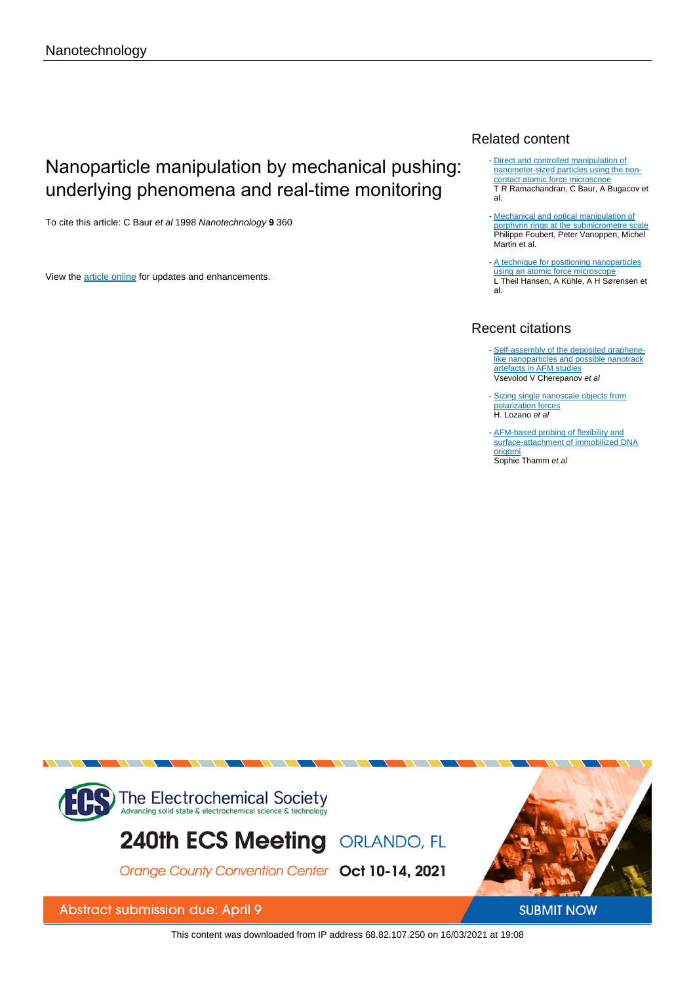# Nanoparticle manipulation by mechanical pushing: underlying phenomena and real-time monitoring

To cite this article: C Baur et al 1998 Nanotechnology **9** 360

View the [article online](https://doi.org/10.1088/0957-4484/9/4/011) for updates and enhancements.

# Related content

- [Direct and controlled manipulation of](/article/10.1088/0957-4484/9/3/015) [nanometer-sized particles using the non](/article/10.1088/0957-4484/9/3/015)[contact atomic force microscope](/article/10.1088/0957-4484/9/3/015) T R Ramachandran, C Baur, A Bugacov et al.
- [Mechanical and optical manipulation of](/article/10.1088/0957-4484/11/1/304) [porphyrin rings at the submicrometre scale](/article/10.1088/0957-4484/11/1/304) Philippe Foubert, Peter Vanoppen, Michel Martin et al.
- [A technique for positioning nanoparticles](/article/10.1088/0957-4484/9/4/006) [using an atomic force microscope](/article/10.1088/0957-4484/9/4/006) L Theil Hansen, A Kühle, A H Sørensen et al.

# Recent citations

- [Self-assembly of the deposited graphene](http://iopscience.iop.org/2632-959X/1/1/010004)[like nanoparticles and possible nanotrack](http://iopscience.iop.org/2632-959X/1/1/010004) [artefacts in AFM studies](http://iopscience.iop.org/2632-959X/1/1/010004)<br>Vsevolod V Cherepanov *et al*
- [Sizing single nanoscale objects from](http://dx.doi.org/10.1038/s41598-019-50745-5) [polarization forces](http://dx.doi.org/10.1038/s41598-019-50745-5) H. Lozano et al
- **[AFM-based probing of flexibility and](http://dx.doi.org/10.1021/acs.langmuir.8b02362)** [surface-attachment of immobilized DNA](http://dx.doi.org/10.1021/acs.langmuir.8b02362) [origami](http://dx.doi.org/10.1021/acs.langmuir.8b02362) Sophie Thamm et al



This content was downloaded from IP address 68.82.107.250 on 16/03/2021 at 19:08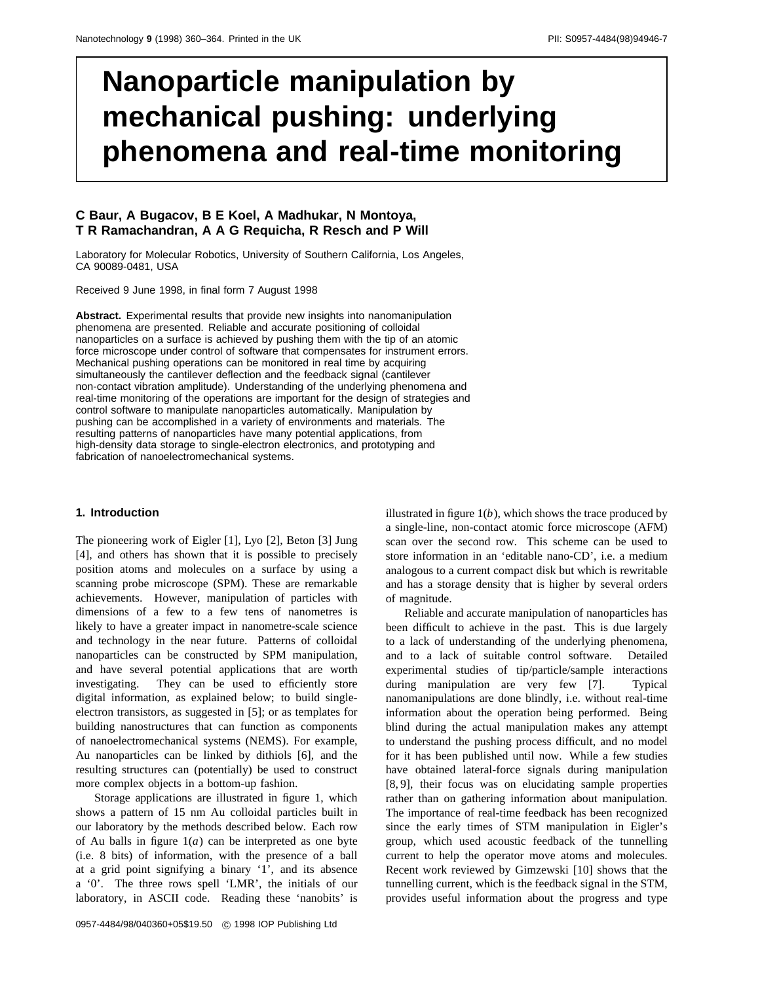# **Nanoparticle manipulation by mechanical pushing: underlying phenomena and real-time monitoring**

## **C Baur, A Bugacov, B E Koel, A Madhukar, N Montoya, T R Ramachandran,AAG Requicha, R Resch and P Will**

Laboratory for Molecular Robotics, University of Southern California, Los Angeles, CA 90089-0481, USA

Received 9 June 1998, in final form 7 August 1998

**Abstract.** Experimental results that provide new insights into nanomanipulation phenomena are presented. Reliable and accurate positioning of colloidal nanoparticles on a surface is achieved by pushing them with the tip of an atomic force microscope under control of software that compensates for instrument errors. Mechanical pushing operations can be monitored in real time by acquiring simultaneously the cantilever deflection and the feedback signal (cantilever non-contact vibration amplitude). Understanding of the underlying phenomena and real-time monitoring of the operations are important for the design of strategies and control software to manipulate nanoparticles automatically. Manipulation by pushing can be accomplished in a variety of environments and materials. The resulting patterns of nanoparticles have many potential applications, from high-density data storage to single-electron electronics, and prototyping and fabrication of nanoelectromechanical systems.

#### **1. Introduction**

The pioneering work of Eigler [1], Lyo [2], Beton [3] Jung [4], and others has shown that it is possible to precisely position atoms and molecules on a surface by using a scanning probe microscope (SPM). These are remarkable achievements. However, manipulation of particles with dimensions of a few to a few tens of nanometres is likely to have a greater impact in nanometre-scale science and technology in the near future. Patterns of colloidal nanoparticles can be constructed by SPM manipulation, and have several potential applications that are worth investigating. They can be used to efficiently store digital information, as explained below; to build singleelectron transistors, as suggested in [5]; or as templates for building nanostructures that can function as components of nanoelectromechanical systems (NEMS). For example, Au nanoparticles can be linked by dithiols [6], and the resulting structures can (potentially) be used to construct more complex objects in a bottom-up fashion.

Storage applications are illustrated in figure 1, which shows a pattern of 15 nm Au colloidal particles built in our laboratory by the methods described below. Each row of Au balls in figure  $1(a)$  can be interpreted as one byte (i.e. 8 bits) of information, with the presence of a ball at a grid point signifying a binary '1', and its absence a '0'. The three rows spell 'LMR', the initials of our laboratory, in ASCII code. Reading these 'nanobits' is illustrated in figure 1(*b*), which shows the trace produced by a single-line, non-contact atomic force microscope (AFM) scan over the second row. This scheme can be used to store information in an 'editable nano-CD', i.e. a medium analogous to a current compact disk but which is rewritable and has a storage density that is higher by several orders of magnitude.

Reliable and accurate manipulation of nanoparticles has been difficult to achieve in the past. This is due largely to a lack of understanding of the underlying phenomena, and to a lack of suitable control software. Detailed experimental studies of tip/particle/sample interactions during manipulation are very few [7]. Typical nanomanipulations are done blindly, i.e. without real-time information about the operation being performed. Being blind during the actual manipulation makes any attempt to understand the pushing process difficult, and no model for it has been published until now. While a few studies have obtained lateral-force signals during manipulation [8, 9], their focus was on elucidating sample properties rather than on gathering information about manipulation. The importance of real-time feedback has been recognized since the early times of STM manipulation in Eigler's group, which used acoustic feedback of the tunnelling current to help the operator move atoms and molecules. Recent work reviewed by Gimzewski [10] shows that the tunnelling current, which is the feedback signal in the STM, provides useful information about the progress and type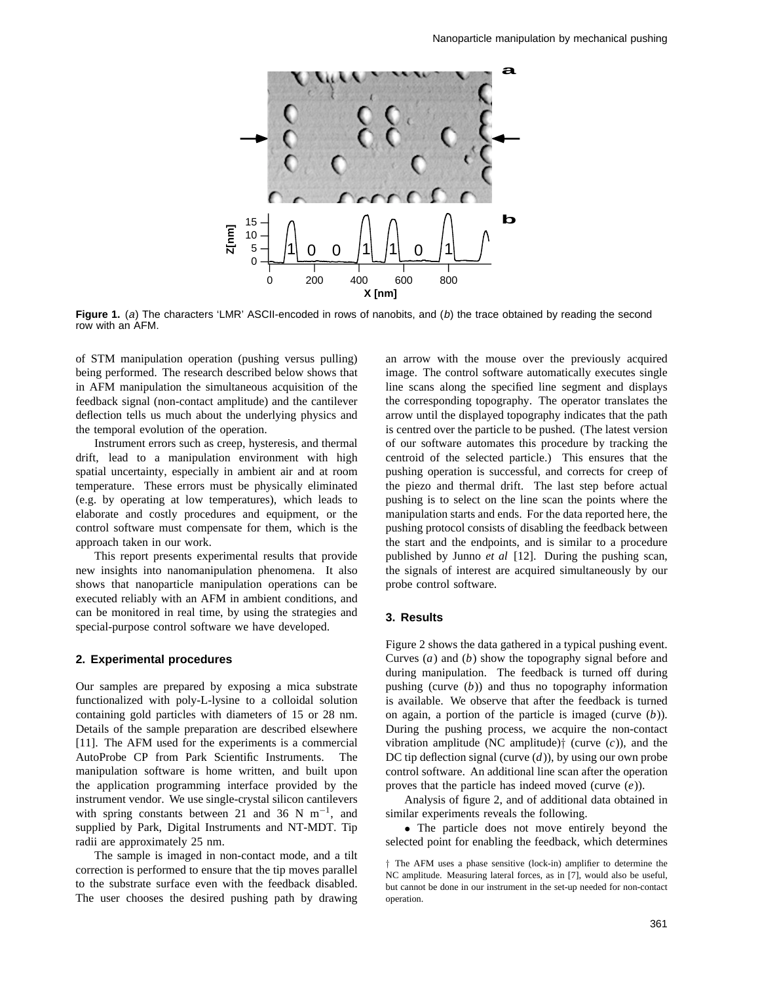

**Figure 1.** (a) The characters 'LMR' ASCII-encoded in rows of nanobits, and (b) the trace obtained by reading the second row with an AFM.

of STM manipulation operation (pushing versus pulling) being performed. The research described below shows that in AFM manipulation the simultaneous acquisition of the feedback signal (non-contact amplitude) and the cantilever deflection tells us much about the underlying physics and the temporal evolution of the operation.

Instrument errors such as creep, hysteresis, and thermal drift, lead to a manipulation environment with high spatial uncertainty, especially in ambient air and at room temperature. These errors must be physically eliminated (e.g. by operating at low temperatures), which leads to elaborate and costly procedures and equipment, or the control software must compensate for them, which is the approach taken in our work.

This report presents experimental results that provide new insights into nanomanipulation phenomena. It also shows that nanoparticle manipulation operations can be executed reliably with an AFM in ambient conditions, and can be monitored in real time, by using the strategies and special-purpose control software we have developed.

#### **2. Experimental procedures**

Our samples are prepared by exposing a mica substrate functionalized with poly-L-lysine to a colloidal solution containing gold particles with diameters of 15 or 28 nm. Details of the sample preparation are described elsewhere [11]. The AFM used for the experiments is a commercial AutoProbe CP from Park Scientific Instruments. The manipulation software is home written, and built upon the application programming interface provided by the instrument vendor. We use single-crystal silicon cantilevers with spring constants between 21 and 36 N m<sup>-1</sup>, and supplied by Park, Digital Instruments and NT-MDT. Tip radii are approximately 25 nm.

The sample is imaged in non-contact mode, and a tilt correction is performed to ensure that the tip moves parallel to the substrate surface even with the feedback disabled. The user chooses the desired pushing path by drawing

an arrow with the mouse over the previously acquired image. The control software automatically executes single line scans along the specified line segment and displays the corresponding topography. The operator translates the arrow until the displayed topography indicates that the path is centred over the particle to be pushed. (The latest version of our software automates this procedure by tracking the centroid of the selected particle.) This ensures that the pushing operation is successful, and corrects for creep of the piezo and thermal drift. The last step before actual pushing is to select on the line scan the points where the manipulation starts and ends. For the data reported here, the pushing protocol consists of disabling the feedback between the start and the endpoints, and is similar to a procedure published by Junno *et al* [12]. During the pushing scan, the signals of interest are acquired simultaneously by our probe control software.

#### **3. Results**

Figure 2 shows the data gathered in a typical pushing event. Curves (*a*) and (*b*) show the topography signal before and during manipulation. The feedback is turned off during pushing (curve (*b*)) and thus no topography information is available. We observe that after the feedback is turned on again, a portion of the particle is imaged (curve (*b*)). During the pushing process, we acquire the non-contact vibration amplitude (NC amplitude)*†* (curve (*c*)), and the DC tip deflection signal (curve (*d*)), by using our own probe control software. An additional line scan after the operation proves that the particle has indeed moved (curve (*e*)).

Analysis of figure 2, and of additional data obtained in similar experiments reveals the following.

• The particle does not move entirely beyond the selected point for enabling the feedback, which determines

*<sup>†</sup>* The AFM uses a phase sensitive (lock-in) amplifier to determine the NC amplitude. Measuring lateral forces, as in [7], would also be useful, but cannot be done in our instrument in the set-up needed for non-contact operation.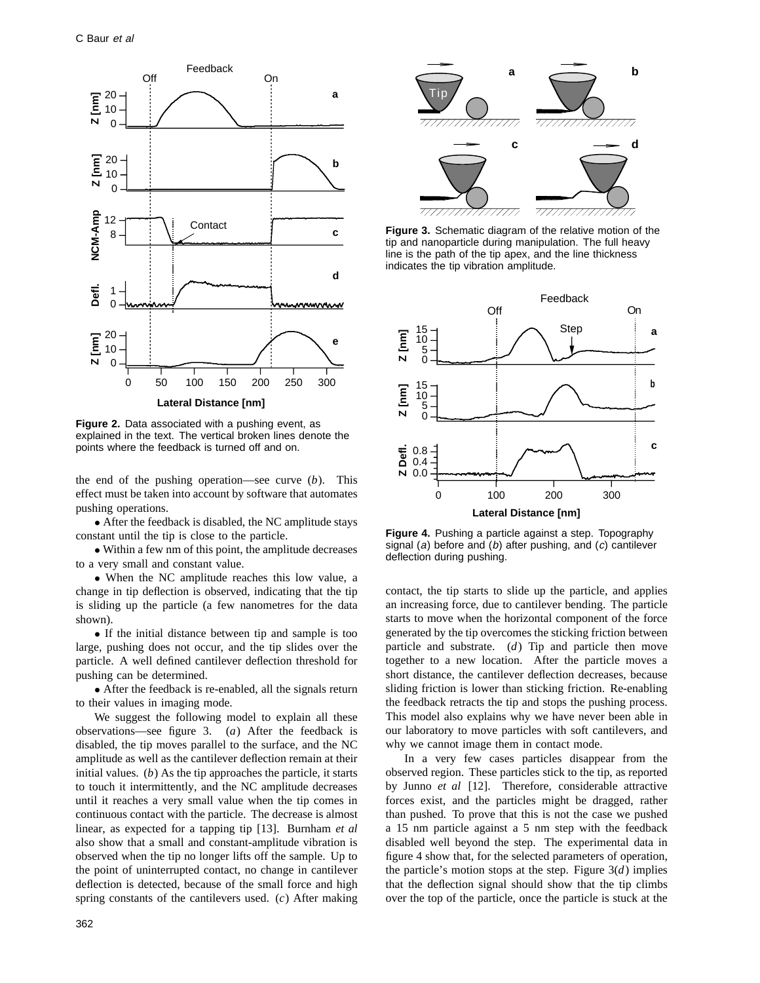

**Figure 2.** Data associated with a pushing event, as explained in the text. The vertical broken lines denote the points where the feedback is turned off and on.

the end of the pushing operation—see curve (*b*). This effect must be taken into account by software that automates pushing operations.

• After the feedback is disabled, the NC amplitude stays constant until the tip is close to the particle.

• Within a few nm of this point, the amplitude decreases to a very small and constant value.

• When the NC amplitude reaches this low value, a change in tip deflection is observed, indicating that the tip is sliding up the particle (a few nanometres for the data shown).

• If the initial distance between tip and sample is too large, pushing does not occur, and the tip slides over the particle. A well defined cantilever deflection threshold for pushing can be determined.

• After the feedback is re-enabled, all the signals return to their values in imaging mode.

We suggest the following model to explain all these observations—see figure 3. (*a*) After the feedback is disabled, the tip moves parallel to the surface, and the NC amplitude as well as the cantilever deflection remain at their initial values. (*b*) As the tip approaches the particle, it starts to touch it intermittently, and the NC amplitude decreases until it reaches a very small value when the tip comes in continuous contact with the particle. The decrease is almost linear, as expected for a tapping tip [13]. Burnham *et al* also show that a small and constant-amplitude vibration is observed when the tip no longer lifts off the sample. Up to the point of uninterrupted contact, no change in cantilever deflection is detected, because of the small force and high spring constants of the cantilevers used. (*c*) After making





**Figure 3.** Schematic diagram of the relative motion of the tip and nanoparticle during manipulation. The full heavy line is the path of the tip apex, and the line thickness indicates the tip vibration amplitude.



**Figure 4.** Pushing a particle against a step. Topography signal (a) before and (b) after pushing, and (c) cantilever deflection during pushing.

contact, the tip starts to slide up the particle, and applies an increasing force, due to cantilever bending. The particle starts to move when the horizontal component of the force generated by the tip overcomes the sticking friction between particle and substrate. (*d*) Tip and particle then move together to a new location. After the particle moves a short distance, the cantilever deflection decreases, because sliding friction is lower than sticking friction. Re-enabling the feedback retracts the tip and stops the pushing process. This model also explains why we have never been able in our laboratory to move particles with soft cantilevers, and why we cannot image them in contact mode.

In a very few cases particles disappear from the observed region. These particles stick to the tip, as reported by Junno *et al* [12]. Therefore, considerable attractive forces exist, and the particles might be dragged, rather than pushed. To prove that this is not the case we pushed a 15 nm particle against a 5 nm step with the feedback disabled well beyond the step. The experimental data in figure 4 show that, for the selected parameters of operation, the particle's motion stops at the step. Figure  $3(d)$  implies that the deflection signal should show that the tip climbs over the top of the particle, once the particle is stuck at the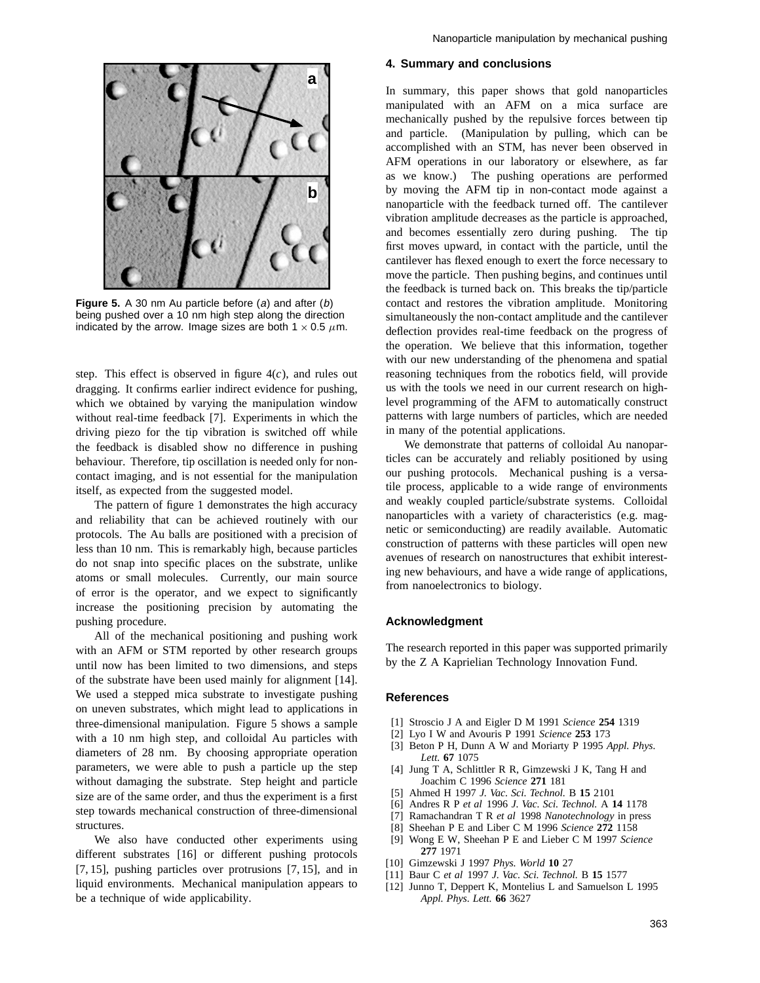

**Figure 5.** A 30 nm Au particle before (a) and after (b) being pushed over a 10 nm high step along the direction indicated by the arrow. Image sizes are both  $1 \times 0.5 \mu$ m.

step. This effect is observed in figure  $4(c)$ , and rules out dragging. It confirms earlier indirect evidence for pushing, which we obtained by varying the manipulation window without real-time feedback [7]. Experiments in which the driving piezo for the tip vibration is switched off while the feedback is disabled show no difference in pushing behaviour. Therefore, tip oscillation is needed only for noncontact imaging, and is not essential for the manipulation itself, as expected from the suggested model.

The pattern of figure 1 demonstrates the high accuracy and reliability that can be achieved routinely with our protocols. The Au balls are positioned with a precision of less than 10 nm. This is remarkably high, because particles do not snap into specific places on the substrate, unlike atoms or small molecules. Currently, our main source of error is the operator, and we expect to significantly increase the positioning precision by automating the pushing procedure.

All of the mechanical positioning and pushing work with an AFM or STM reported by other research groups until now has been limited to two dimensions, and steps of the substrate have been used mainly for alignment [14]. We used a stepped mica substrate to investigate pushing on uneven substrates, which might lead to applications in three-dimensional manipulation. Figure 5 shows a sample with a 10 nm high step, and colloidal Au particles with diameters of 28 nm. By choosing appropriate operation parameters, we were able to push a particle up the step without damaging the substrate. Step height and particle size are of the same order, and thus the experiment is a first step towards mechanical construction of three-dimensional structures.

We also have conducted other experiments using different substrates [16] or different pushing protocols [7, 15], pushing particles over protrusions [7, 15], and in liquid environments. Mechanical manipulation appears to be a technique of wide applicability.

#### **4. Summary and conclusions**

In summary, this paper shows that gold nanoparticles manipulated with an AFM on a mica surface are mechanically pushed by the repulsive forces between tip and particle. (Manipulation by pulling, which can be accomplished with an STM, has never been observed in AFM operations in our laboratory or elsewhere, as far as we know.) The pushing operations are performed by moving the AFM tip in non-contact mode against a nanoparticle with the feedback turned off. The cantilever vibration amplitude decreases as the particle is approached, and becomes essentially zero during pushing. The tip first moves upward, in contact with the particle, until the cantilever has flexed enough to exert the force necessary to move the particle. Then pushing begins, and continues until the feedback is turned back on. This breaks the tip/particle contact and restores the vibration amplitude. Monitoring simultaneously the non-contact amplitude and the cantilever deflection provides real-time feedback on the progress of the operation. We believe that this information, together with our new understanding of the phenomena and spatial reasoning techniques from the robotics field, will provide us with the tools we need in our current research on highlevel programming of the AFM to automatically construct patterns with large numbers of particles, which are needed in many of the potential applications.

We demonstrate that patterns of colloidal Au nanoparticles can be accurately and reliably positioned by using our pushing protocols. Mechanical pushing is a versatile process, applicable to a wide range of environments and weakly coupled particle/substrate systems. Colloidal nanoparticles with a variety of characteristics (e.g. magnetic or semiconducting) are readily available. Automatic construction of patterns with these particles will open new avenues of research on nanostructures that exhibit interesting new behaviours, and have a wide range of applications, from nanoelectronics to biology.

#### **Acknowledgment**

The research reported in this paper was supported primarily by the Z A Kaprielian Technology Innovation Fund.

#### **References**

- [1] Stroscio J A and Eigler D M 1991 *Science* **254** 1319
- [2] Lyo I W and Avouris P 1991 *Science* **253** 173
- [3] Beton P H, Dunn A W and Moriarty P 1995 *Appl. Phys. Lett.* **67** 1075
- [4] Jung T A, Schlittler R R, Gimzewski J K, Tang H and Joachim C 1996 *Science* **271** 181
- [5] Ahmed H 1997 *J. Vac. Sci. Technol.* B **15** 2101
- [6] Andres R P *et al* 1996 *J. Vac. Sci. Technol.* A **14** 1178
- [7] Ramachandran T R *et al* 1998 *Nanotechnology* in press
- [8] Sheehan P E and Liber C M 1996 *Science* **272** 1158
- [9] Wong E W, Sheehan P E and Lieber C M 1997 *Science* **277** 1971
- [10] Gimzewski J 1997 *Phys. World* **10** 27
- [11] Baur C *et al* 1997 *J. Vac. Sci. Technol.* B **15** 1577
- [12] Junno T, Deppert K, Montelius L and Samuelson L 1995 *Appl. Phys. Lett.* **66** 3627